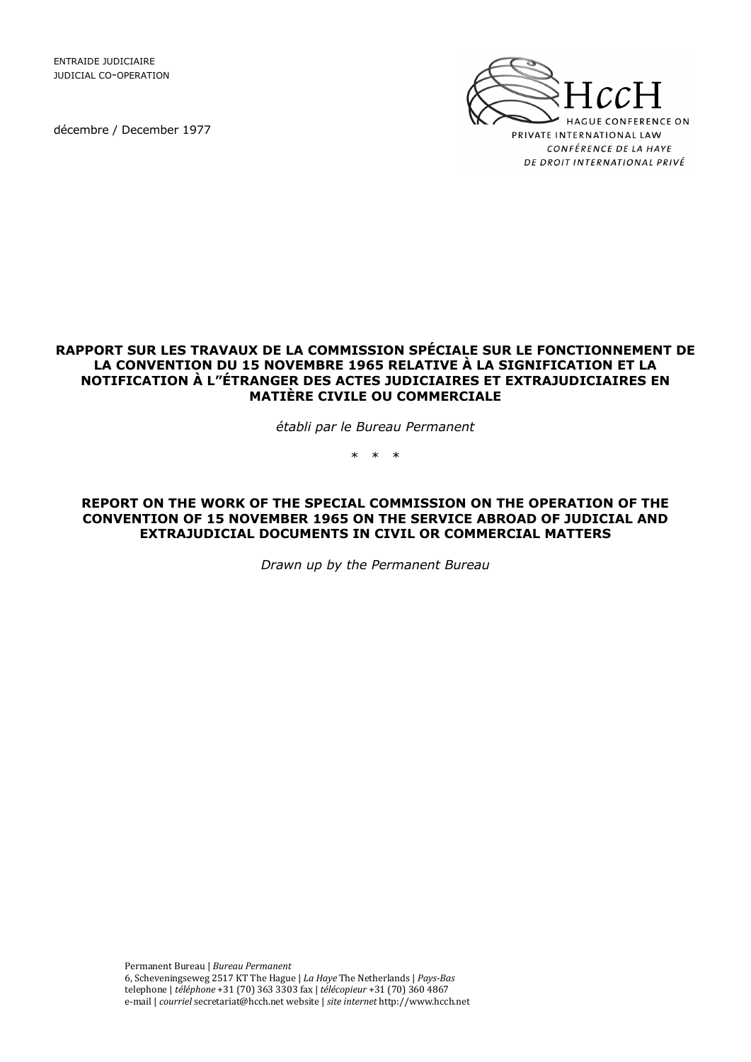ENTRAIDE JUDICIAIRE JUDICIAL CO-OPERATION

décembre / December 1977



## **RAPPORT SUR LES TRAVAUX DE LA COMMISSION SPÉCIALE SUR LE FONCTIONNEMENT DE LA CONVENTION DU 15 NOVEMBRE 1965 RELATIVE À LA SIGNIFICATION ET LA NOTIFICATION À L"ÉTRANGER DES ACTES JUDICIAIRES ET EXTRAJUDICIAIRES EN MATIÈRE CIVILE OU COMMERCIALE**

*établi par le Bureau Permanent* 

\* \* \*

**REPORT ON THE WORK OF THE SPECIAL COMMISSION ON THE OPERATION OF THE CONVENTION OF 15 NOVEMBER 1965 ON THE SERVICE ABROAD OF JUDICIAL AND EXTRAJUDICIAL DOCUMENTS IN CIVIL OR COMMERCIAL MATTERS** 

*Drawn up by the Permanent Bureau*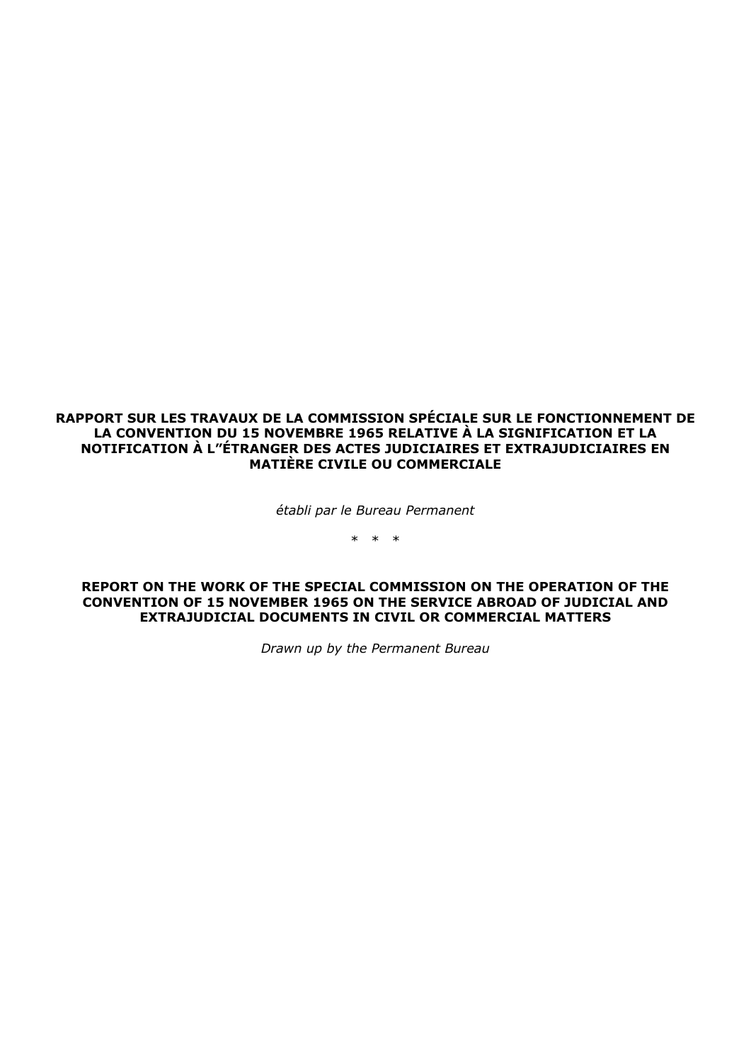**RAPPORT SUR LES TRAVAUX DE LA COMMISSION SPÉCIALE SUR LE FONCTIONNEMENT DE LA CONVENTION DU 15 NOVEMBRE 1965 RELATIVE À LA SIGNIFICATION ET LA NOTIFICATION À L"ÉTRANGER DES ACTES JUDICIAIRES ET EXTRAJUDICIAIRES EN MATIÈRE CIVILE OU COMMERCIALE** 

*établi par le Bureau Permanent* 

\* \* \*

#### **REPORT ON THE WORK OF THE SPECIAL COMMISSION ON THE OPERATION OF THE CONVENTION OF 15 NOVEMBER 1965 ON THE SERVICE ABROAD OF JUDICIAL AND EXTRAJUDICIAL DOCUMENTS IN CIVIL OR COMMERCIAL MATTERS**

*Drawn up by the Permanent Bureau*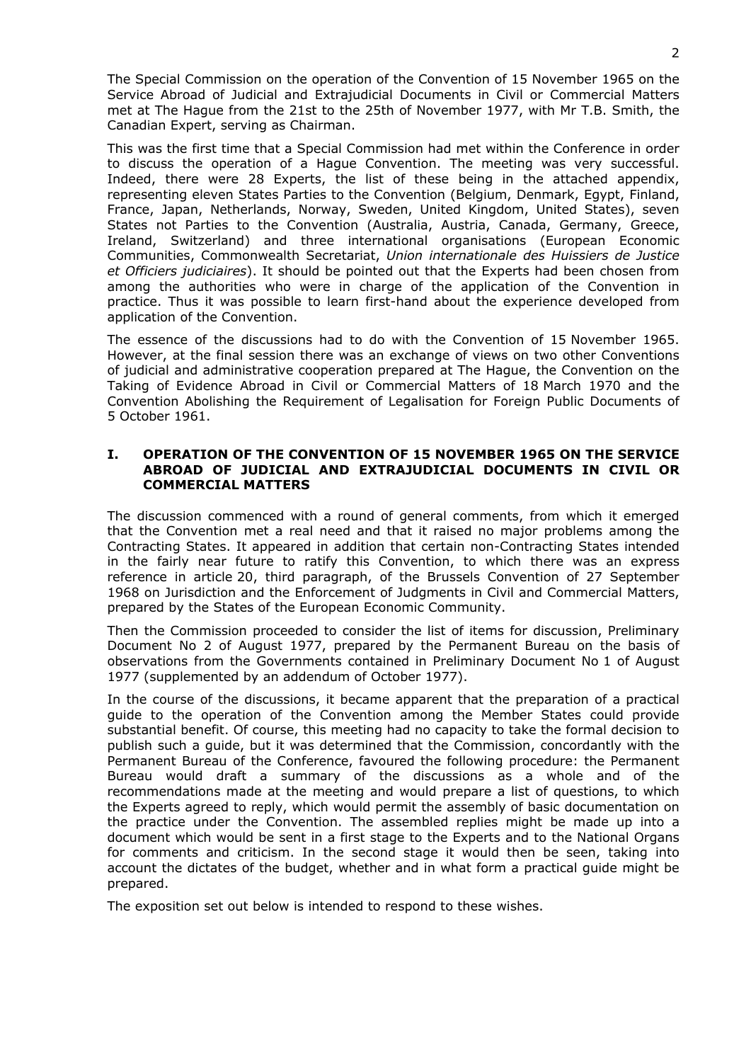The Special Commission on the operation of the Convention of 15 November 1965 on the Service Abroad of Judicial and Extrajudicial Documents in Civil or Commercial Matters met at The Hague from the 21st to the 25th of November 1977, with Mr T.B. Smith, the Canadian Expert, serving as Chairman.

This was the first time that a Special Commission had met within the Conference in order to discuss the operation of a Hague Convention. The meeting was very successful. Indeed, there were 28 Experts, the list of these being in the attached appendix, representing eleven States Parties to the Convention (Belgium, Denmark, Egypt, Finland, France, Japan, Netherlands, Norway, Sweden, United Kingdom, United States), seven States not Parties to the Convention (Australia, Austria, Canada, Germany, Greece, Ireland, Switzerland) and three international organisations (European Economic Communities, Commonwealth Secretariat, *Union internationale des Huissiers de Justice et Officiers judiciaires*). It should be pointed out that the Experts had been chosen from among the authorities who were in charge of the application of the Convention in practice. Thus it was possible to learn first-hand about the experience developed from application of the Convention.

The essence of the discussions had to do with the Convention of 15 November 1965. However, at the final session there was an exchange of views on two other Conventions of judicial and administrative cooperation prepared at The Hague, the Convention on the Taking of Evidence Abroad in Civil or Commercial Matters of 18 March 1970 and the Convention Abolishing the Requirement of Legalisation for Foreign Public Documents of 5 October 1961.

#### **I. OPERATION OF THE CONVENTION OF 15 NOVEMBER 1965 ON THE SERVICE ABROAD OF JUDICIAL AND EXTRAJUDICIAL DOCUMENTS IN CIVIL OR COMMERCIAL MATTERS**

The discussion commenced with a round of general comments, from which it emerged that the Convention met a real need and that it raised no major problems among the Contracting States. It appeared in addition that certain non-Contracting States intended in the fairly near future to ratify this Convention, to which there was an express reference in article 20, third paragraph, of the Brussels Convention of 27 September 1968 on Jurisdiction and the Enforcement of Judgments in Civil and Commercial Matters, prepared by the States of the European Economic Community.

Then the Commission proceeded to consider the list of items for discussion, Preliminary Document No 2 of August 1977, prepared by the Permanent Bureau on the basis of observations from the Governments contained in Preliminary Document No 1 of August 1977 (supplemented by an addendum of October 1977).

In the course of the discussions, it became apparent that the preparation of a practical guide to the operation of the Convention among the Member States could provide substantial benefit. Of course, this meeting had no capacity to take the formal decision to publish such a guide, but it was determined that the Commission, concordantly with the Permanent Bureau of the Conference, favoured the following procedure: the Permanent Bureau would draft a summary of the discussions as a whole and of the recommendations made at the meeting and would prepare a list of questions, to which the Experts agreed to reply, which would permit the assembly of basic documentation on the practice under the Convention. The assembled replies might be made up into a document which would be sent in a first stage to the Experts and to the National Organs for comments and criticism. In the second stage it would then be seen, taking into account the dictates of the budget, whether and in what form a practical guide might be prepared.

The exposition set out below is intended to respond to these wishes.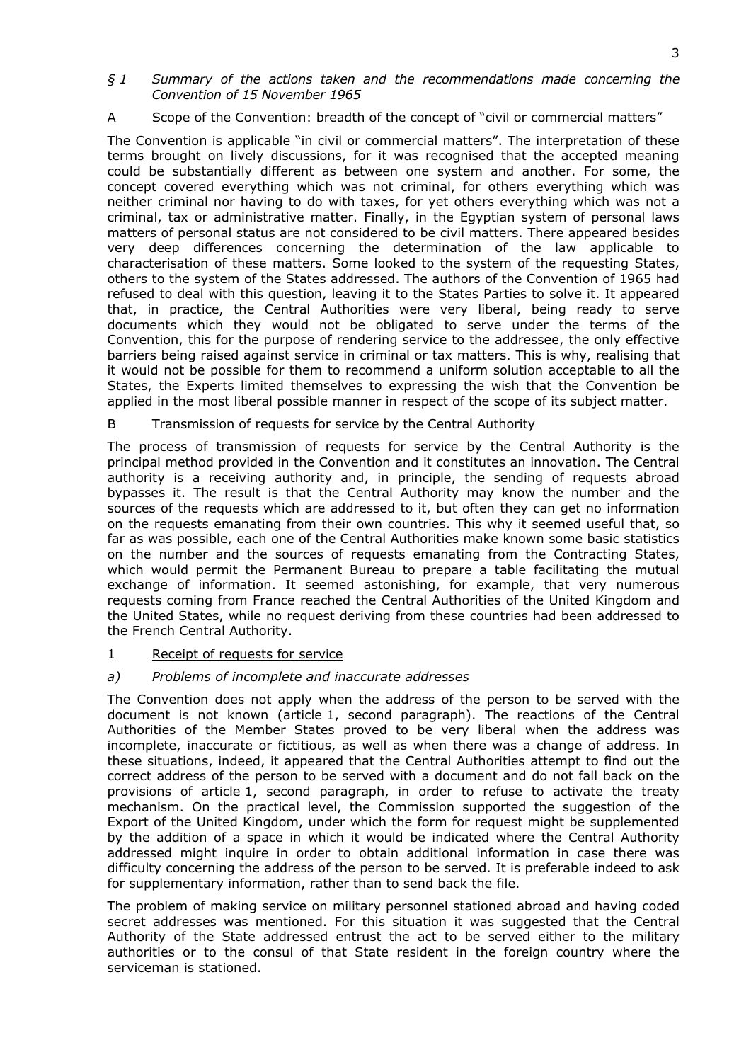#### *§ 1 Summary of the actions taken and the recommendations made concerning the Convention of 15 November 1965*

# A Scope of the Convention: breadth of the concept of "civil or commercial matters"

The Convention is applicable "in civil or commercial matters". The interpretation of these terms brought on lively discussions, for it was recognised that the accepted meaning could be substantially different as between one system and another. For some, the concept covered everything which was not criminal, for others everything which was neither criminal nor having to do with taxes, for yet others everything which was not a criminal, tax or administrative matter. Finally, in the Egyptian system of personal laws matters of personal status are not considered to be civil matters. There appeared besides very deep differences concerning the determination of the law applicable to characterisation of these matters. Some looked to the system of the requesting States, others to the system of the States addressed. The authors of the Convention of 1965 had refused to deal with this question, leaving it to the States Parties to solve it. It appeared that, in practice, the Central Authorities were very liberal, being ready to serve documents which they would not be obligated to serve under the terms of the Convention, this for the purpose of rendering service to the addressee, the only effective barriers being raised against service in criminal or tax matters. This is why, realising that it would not be possible for them to recommend a uniform solution acceptable to all the States, the Experts limited themselves to expressing the wish that the Convention be applied in the most liberal possible manner in respect of the scope of its subject matter.

## B Transmission of requests for service by the Central Authority

The process of transmission of requests for service by the Central Authority is the principal method provided in the Convention and it constitutes an innovation. The Central authority is a receiving authority and, in principle, the sending of requests abroad bypasses it. The result is that the Central Authority may know the number and the sources of the requests which are addressed to it, but often they can get no information on the requests emanating from their own countries. This why it seemed useful that, so far as was possible, each one of the Central Authorities make known some basic statistics on the number and the sources of requests emanating from the Contracting States, which would permit the Permanent Bureau to prepare a table facilitating the mutual exchange of information. It seemed astonishing, for example, that very numerous requests coming from France reached the Central Authorities of the United Kingdom and the United States, while no request deriving from these countries had been addressed to the French Central Authority.

#### 1 Receipt of requests for service

#### *a) Problems of incomplete and inaccurate addresses*

The Convention does not apply when the address of the person to be served with the document is not known (article 1, second paragraph). The reactions of the Central Authorities of the Member States proved to be very liberal when the address was incomplete, inaccurate or fictitious, as well as when there was a change of address. In these situations, indeed, it appeared that the Central Authorities attempt to find out the correct address of the person to be served with a document and do not fall back on the provisions of article 1, second paragraph, in order to refuse to activate the treaty mechanism. On the practical level, the Commission supported the suggestion of the Export of the United Kingdom, under which the form for request might be supplemented by the addition of a space in which it would be indicated where the Central Authority addressed might inquire in order to obtain additional information in case there was difficulty concerning the address of the person to be served. It is preferable indeed to ask for supplementary information, rather than to send back the file.

The problem of making service on military personnel stationed abroad and having coded secret addresses was mentioned. For this situation it was suggested that the Central Authority of the State addressed entrust the act to be served either to the military authorities or to the consul of that State resident in the foreign country where the serviceman is stationed.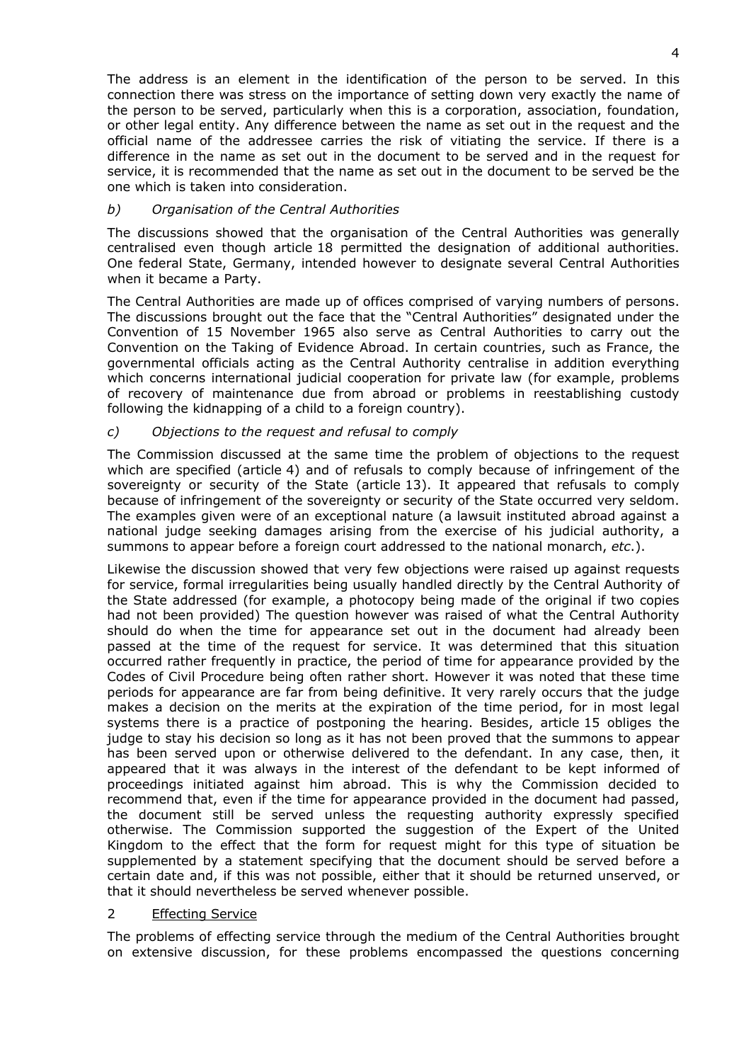The address is an element in the identification of the person to be served. In this connection there was stress on the importance of setting down very exactly the name of the person to be served, particularly when this is a corporation, association, foundation, or other legal entity. Any difference between the name as set out in the request and the official name of the addressee carries the risk of vitiating the service. If there is a difference in the name as set out in the document to be served and in the request for service, it is recommended that the name as set out in the document to be served be the one which is taken into consideration.

## *b) Organisation of the Central Authorities*

The discussions showed that the organisation of the Central Authorities was generally centralised even though article 18 permitted the designation of additional authorities. One federal State, Germany, intended however to designate several Central Authorities when it became a Party.

The Central Authorities are made up of offices comprised of varying numbers of persons. The discussions brought out the face that the "Central Authorities" designated under the Convention of 15 November 1965 also serve as Central Authorities to carry out the Convention on the Taking of Evidence Abroad. In certain countries, such as France, the governmental officials acting as the Central Authority centralise in addition everything which concerns international judicial cooperation for private law (for example, problems of recovery of maintenance due from abroad or problems in reestablishing custody following the kidnapping of a child to a foreign country).

# *c) Objections to the request and refusal to comply*

The Commission discussed at the same time the problem of objections to the request which are specified (article 4) and of refusals to comply because of infringement of the sovereignty or security of the State (article 13). It appeared that refusals to comply because of infringement of the sovereignty or security of the State occurred very seldom. The examples given were of an exceptional nature (a lawsuit instituted abroad against a national judge seeking damages arising from the exercise of his judicial authority, a summons to appear before a foreign court addressed to the national monarch, *etc*.).

Likewise the discussion showed that very few objections were raised up against requests for service, formal irregularities being usually handled directly by the Central Authority of the State addressed (for example, a photocopy being made of the original if two copies had not been provided) The question however was raised of what the Central Authority should do when the time for appearance set out in the document had already been passed at the time of the request for service. It was determined that this situation occurred rather frequently in practice, the period of time for appearance provided by the Codes of Civil Procedure being often rather short. However it was noted that these time periods for appearance are far from being definitive. It very rarely occurs that the judge makes a decision on the merits at the expiration of the time period, for in most legal systems there is a practice of postponing the hearing. Besides, article 15 obliges the judge to stay his decision so long as it has not been proved that the summons to appear has been served upon or otherwise delivered to the defendant. In any case, then, it appeared that it was always in the interest of the defendant to be kept informed of proceedings initiated against him abroad. This is why the Commission decided to recommend that, even if the time for appearance provided in the document had passed, the document still be served unless the requesting authority expressly specified otherwise. The Commission supported the suggestion of the Expert of the United Kingdom to the effect that the form for request might for this type of situation be supplemented by a statement specifying that the document should be served before a certain date and, if this was not possible, either that it should be returned unserved, or that it should nevertheless be served whenever possible.

#### 2 Effecting Service

The problems of effecting service through the medium of the Central Authorities brought on extensive discussion, for these problems encompassed the questions concerning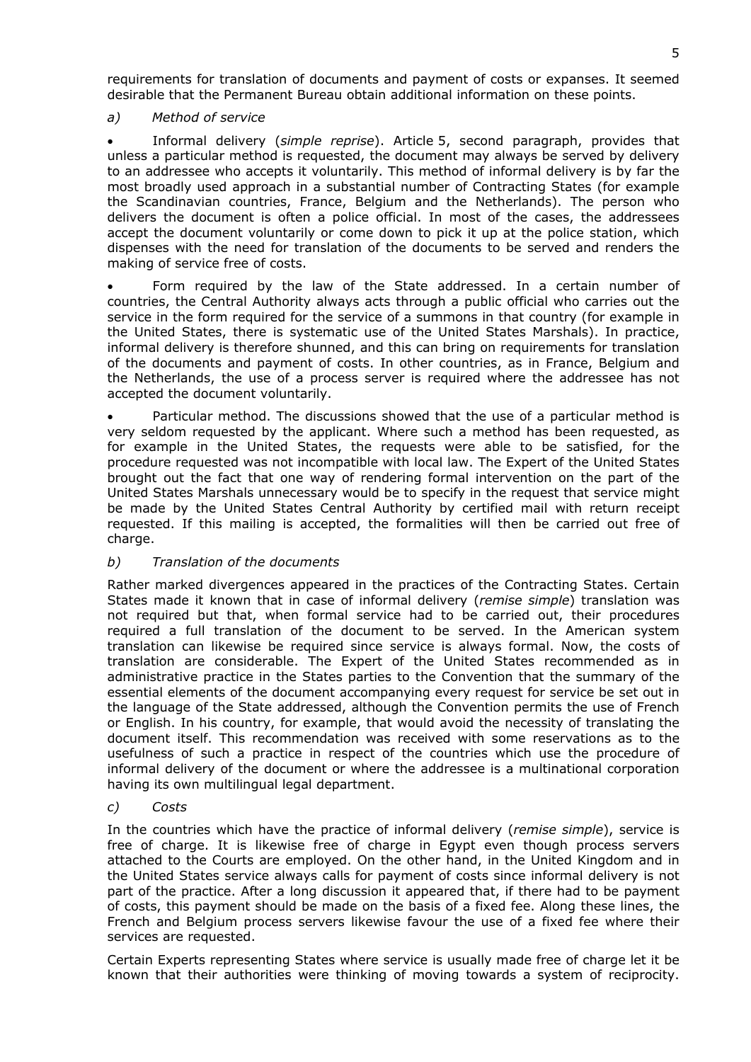requirements for translation of documents and payment of costs or expanses. It seemed desirable that the Permanent Bureau obtain additional information on these points.

# *a) Method of service*

 Informal delivery (*simple reprise*). Article 5, second paragraph, provides that unless a particular method is requested, the document may always be served by delivery to an addressee who accepts it voluntarily. This method of informal delivery is by far the most broadly used approach in a substantial number of Contracting States (for example the Scandinavian countries, France, Belgium and the Netherlands). The person who delivers the document is often a police official. In most of the cases, the addressees accept the document voluntarily or come down to pick it up at the police station, which dispenses with the need for translation of the documents to be served and renders the making of service free of costs.

 Form required by the law of the State addressed. In a certain number of countries, the Central Authority always acts through a public official who carries out the service in the form required for the service of a summons in that country (for example in the United States, there is systematic use of the United States Marshals). In practice, informal delivery is therefore shunned, and this can bring on requirements for translation of the documents and payment of costs. In other countries, as in France, Belgium and the Netherlands, the use of a process server is required where the addressee has not accepted the document voluntarily.

 Particular method. The discussions showed that the use of a particular method is very seldom requested by the applicant. Where such a method has been requested, as for example in the United States, the requests were able to be satisfied, for the procedure requested was not incompatible with local law. The Expert of the United States brought out the fact that one way of rendering formal intervention on the part of the United States Marshals unnecessary would be to specify in the request that service might be made by the United States Central Authority by certified mail with return receipt requested. If this mailing is accepted, the formalities will then be carried out free of charge.

# *b) Translation of the documents*

Rather marked divergences appeared in the practices of the Contracting States. Certain States made it known that in case of informal delivery (*remise simple*) translation was not required but that, when formal service had to be carried out, their procedures required a full translation of the document to be served. In the American system translation can likewise be required since service is always formal. Now, the costs of translation are considerable. The Expert of the United States recommended as in administrative practice in the States parties to the Convention that the summary of the essential elements of the document accompanying every request for service be set out in the language of the State addressed, although the Convention permits the use of French or English. In his country, for example, that would avoid the necessity of translating the document itself. This recommendation was received with some reservations as to the usefulness of such a practice in respect of the countries which use the procedure of informal delivery of the document or where the addressee is a multinational corporation having its own multilingual legal department.

*c) Costs* 

In the countries which have the practice of informal delivery (*remise simple*), service is free of charge. It is likewise free of charge in Egypt even though process servers attached to the Courts are employed. On the other hand, in the United Kingdom and in the United States service always calls for payment of costs since informal delivery is not part of the practice. After a long discussion it appeared that, if there had to be payment of costs, this payment should be made on the basis of a fixed fee. Along these lines, the French and Belgium process servers likewise favour the use of a fixed fee where their services are requested.

Certain Experts representing States where service is usually made free of charge let it be known that their authorities were thinking of moving towards a system of reciprocity.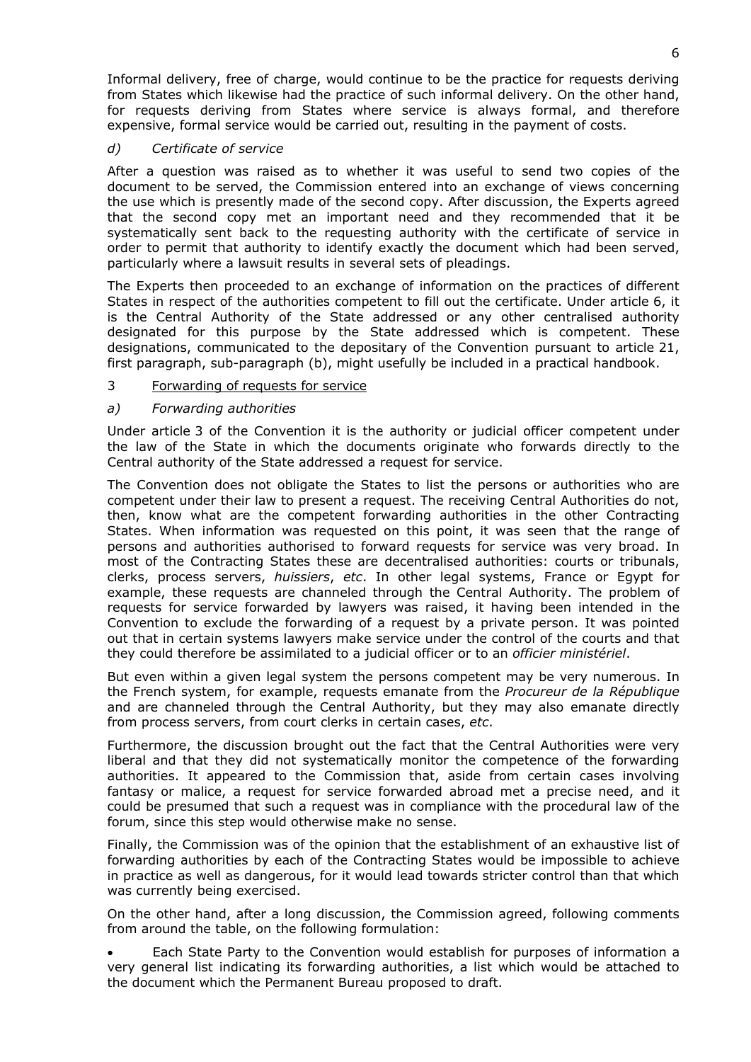Informal delivery, free of charge, would continue to be the practice for requests deriving from States which likewise had the practice of such informal delivery. On the other hand, for requests deriving from States where service is always formal, and therefore expensive, formal service would be carried out, resulting in the payment of costs.

## *d) Certificate of service*

After a question was raised as to whether it was useful to send two copies of the document to be served, the Commission entered into an exchange of views concerning the use which is presently made of the second copy. After discussion, the Experts agreed that the second copy met an important need and they recommended that it be systematically sent back to the requesting authority with the certificate of service in order to permit that authority to identify exactly the document which had been served, particularly where a lawsuit results in several sets of pleadings.

The Experts then proceeded to an exchange of information on the practices of different States in respect of the authorities competent to fill out the certificate. Under article 6, it is the Central Authority of the State addressed or any other centralised authority designated for this purpose by the State addressed which is competent. These designations, communicated to the depositary of the Convention pursuant to article 21, first paragraph, sub-paragraph (b), might usefully be included in a practical handbook.

## 3 Forwarding of requests for service

## *a) Forwarding authorities*

Under article 3 of the Convention it is the authority or judicial officer competent under the law of the State in which the documents originate who forwards directly to the Central authority of the State addressed a request for service.

The Convention does not obligate the States to list the persons or authorities who are competent under their law to present a request. The receiving Central Authorities do not, then, know what are the competent forwarding authorities in the other Contracting States. When information was requested on this point, it was seen that the range of persons and authorities authorised to forward requests for service was very broad. In most of the Contracting States these are decentralised authorities: courts or tribunals, clerks, process servers, *huissiers*, *etc*. In other legal systems, France or Egypt for example, these requests are channeled through the Central Authority. The problem of requests for service forwarded by lawyers was raised, it having been intended in the Convention to exclude the forwarding of a request by a private person. It was pointed out that in certain systems lawyers make service under the control of the courts and that they could therefore be assimilated to a judicial officer or to an *officier ministériel*.

But even within a given legal system the persons competent may be very numerous. In the French system, for example, requests emanate from the *Procureur de la République* and are channeled through the Central Authority, but they may also emanate directly from process servers, from court clerks in certain cases, *etc*.

Furthermore, the discussion brought out the fact that the Central Authorities were very liberal and that they did not systematically monitor the competence of the forwarding authorities. It appeared to the Commission that, aside from certain cases involving fantasy or malice, a request for service forwarded abroad met a precise need, and it could be presumed that such a request was in compliance with the procedural law of the forum, since this step would otherwise make no sense.

Finally, the Commission was of the opinion that the establishment of an exhaustive list of forwarding authorities by each of the Contracting States would be impossible to achieve in practice as well as dangerous, for it would lead towards stricter control than that which was currently being exercised.

On the other hand, after a long discussion, the Commission agreed, following comments from around the table, on the following formulation:

 Each State Party to the Convention would establish for purposes of information a very general list indicating its forwarding authorities, a list which would be attached to the document which the Permanent Bureau proposed to draft.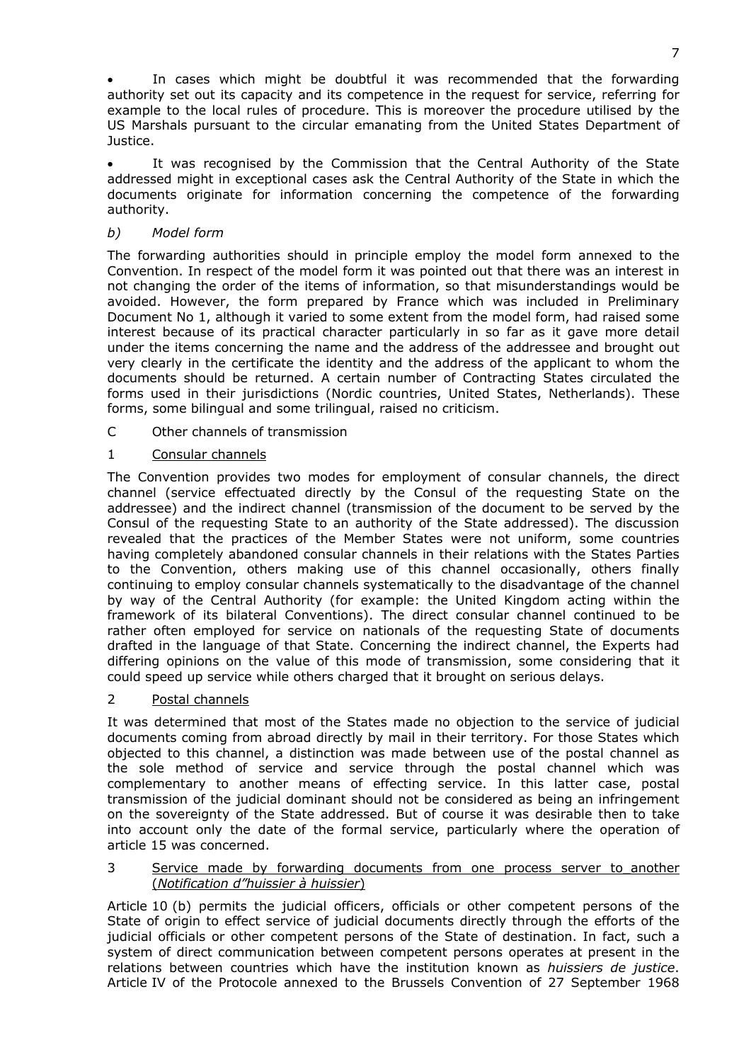In cases which might be doubtful it was recommended that the forwarding authority set out its capacity and its competence in the request for service, referring for example to the local rules of procedure. This is moreover the procedure utilised by the US Marshals pursuant to the circular emanating from the United States Department of Justice.

 It was recognised by the Commission that the Central Authority of the State addressed might in exceptional cases ask the Central Authority of the State in which the documents originate for information concerning the competence of the forwarding authority.

# *b) Model form*

The forwarding authorities should in principle employ the model form annexed to the Convention. In respect of the model form it was pointed out that there was an interest in not changing the order of the items of information, so that misunderstandings would be avoided. However, the form prepared by France which was included in Preliminary Document No 1, although it varied to some extent from the model form, had raised some interest because of its practical character particularly in so far as it gave more detail under the items concerning the name and the address of the addressee and brought out very clearly in the certificate the identity and the address of the applicant to whom the documents should be returned. A certain number of Contracting States circulated the forms used in their jurisdictions (Nordic countries, United States, Netherlands). These forms, some bilingual and some trilingual, raised no criticism.

C Other channels of transmission

## 1 Consular channels

The Convention provides two modes for employment of consular channels, the direct channel (service effectuated directly by the Consul of the requesting State on the addressee) and the indirect channel (transmission of the document to be served by the Consul of the requesting State to an authority of the State addressed). The discussion revealed that the practices of the Member States were not uniform, some countries having completely abandoned consular channels in their relations with the States Parties to the Convention, others making use of this channel occasionally, others finally continuing to employ consular channels systematically to the disadvantage of the channel by way of the Central Authority (for example: the United Kingdom acting within the framework of its bilateral Conventions). The direct consular channel continued to be rather often employed for service on nationals of the requesting State of documents drafted in the language of that State. Concerning the indirect channel, the Experts had differing opinions on the value of this mode of transmission, some considering that it could speed up service while others charged that it brought on serious delays.

# 2 Postal channels

It was determined that most of the States made no objection to the service of judicial documents coming from abroad directly by mail in their territory. For those States which objected to this channel, a distinction was made between use of the postal channel as the sole method of service and service through the postal channel which was complementary to another means of effecting service. In this latter case, postal transmission of the judicial dominant should not be considered as being an infringement on the sovereignty of the State addressed. But of course it was desirable then to take into account only the date of the formal service, particularly where the operation of article 15 was concerned.

#### 3 Service made by forwarding documents from one process server to\_another (*Notification d"huissier à huissier*)

Article 10 (b) permits the judicial officers, officials or other competent persons of the State of origin to effect service of judicial documents directly through the efforts of the judicial officials or other competent persons of the State of destination. In fact, such a system of direct communication between competent persons operates at present in the relations between countries which have the institution known as *huissiers de justice*. Article IV of the Protocole annexed to the Brussels Convention of 27 September 1968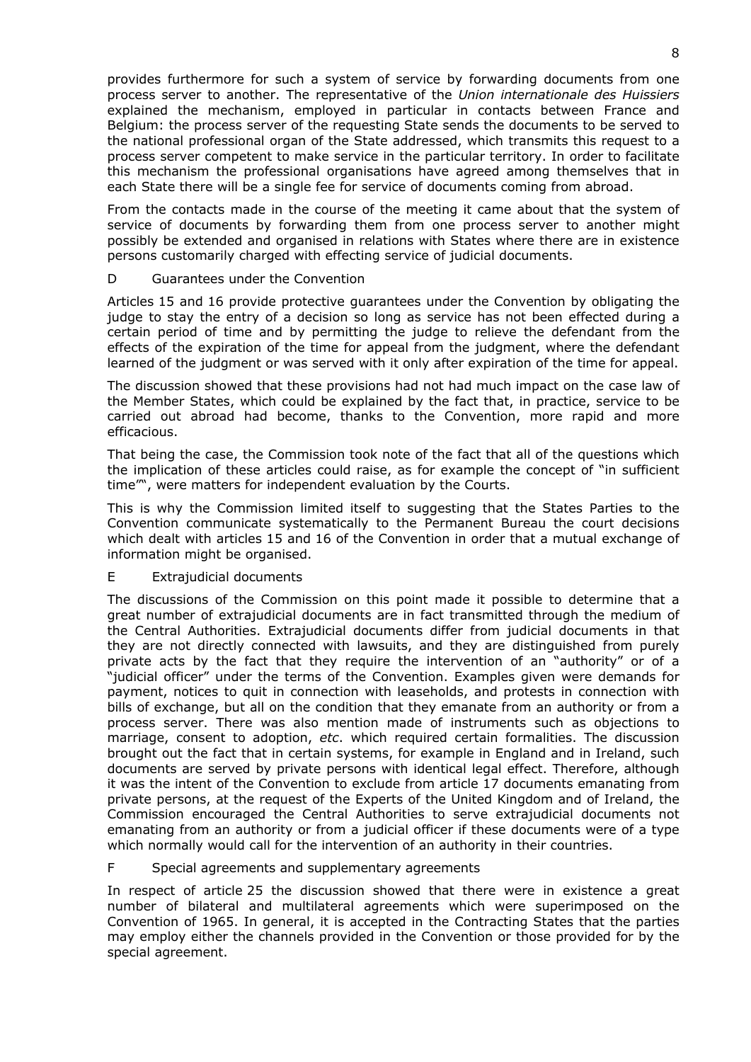provides furthermore for such a system of service by forwarding documents from one process server to another. The representative of the *Union internationale des Huissiers* explained the mechanism, employed in particular in contacts between France and Belgium: the process server of the requesting State sends the documents to be served to the national professional organ of the State addressed, which transmits this request to a process server competent to make service in the particular territory. In order to facilitate this mechanism the professional organisations have agreed among themselves that in each State there will be a single fee for service of documents coming from abroad.

From the contacts made in the course of the meeting it came about that the system of service of documents by forwarding them from one process server to another might possibly be extended and organised in relations with States where there are in existence persons customarily charged with effecting service of judicial documents.

## D Guarantees under the Convention

Articles 15 and 16 provide protective guarantees under the Convention by obligating the judge to stay the entry of a decision so long as service has not been effected during a certain period of time and by permitting the judge to relieve the defendant from the effects of the expiration of the time for appeal from the judgment, where the defendant learned of the judgment or was served with it only after expiration of the time for appeal.

The discussion showed that these provisions had not had much impact on the case law of the Member States, which could be explained by the fact that, in practice, service to be carried out abroad had become, thanks to the Convention, more rapid and more efficacious.

That being the case, the Commission took note of the fact that all of the questions which the implication of these articles could raise, as for example the concept of "in sufficient time"", were matters for independent evaluation by the Courts.

This is why the Commission limited itself to suggesting that the States Parties to the Convention communicate systematically to the Permanent Bureau the court decisions which dealt with articles 15 and 16 of the Convention in order that a mutual exchange of information might be organised.

# E Extrajudicial documents

The discussions of the Commission on this point made it possible to determine that a great number of extrajudicial documents are in fact transmitted through the medium of the Central Authorities. Extrajudicial documents differ from judicial documents in that they are not directly connected with lawsuits, and they are distinguished from purely private acts by the fact that they require the intervention of an "authority" or of a "judicial officer" under the terms of the Convention. Examples given were demands for payment, notices to quit in connection with leaseholds, and protests in connection with bills of exchange, but all on the condition that they emanate from an authority or from a process server. There was also mention made of instruments such as objections to marriage, consent to adoption, *etc*. which required certain formalities. The discussion brought out the fact that in certain systems, for example in England and in Ireland, such documents are served by private persons with identical legal effect. Therefore, although it was the intent of the Convention to exclude from article 17 documents emanating from private persons, at the request of the Experts of the United Kingdom and of Ireland, the Commission encouraged the Central Authorities to serve extrajudicial documents not emanating from an authority or from a judicial officer if these documents were of a type which normally would call for the intervention of an authority in their countries.

#### F Special agreements and supplementary agreements

In respect of article 25 the discussion showed that there were in existence a great number of bilateral and multilateral agreements which were superimposed on the Convention of 1965. In general, it is accepted in the Contracting States that the parties may employ either the channels provided in the Convention or those provided for by the special agreement.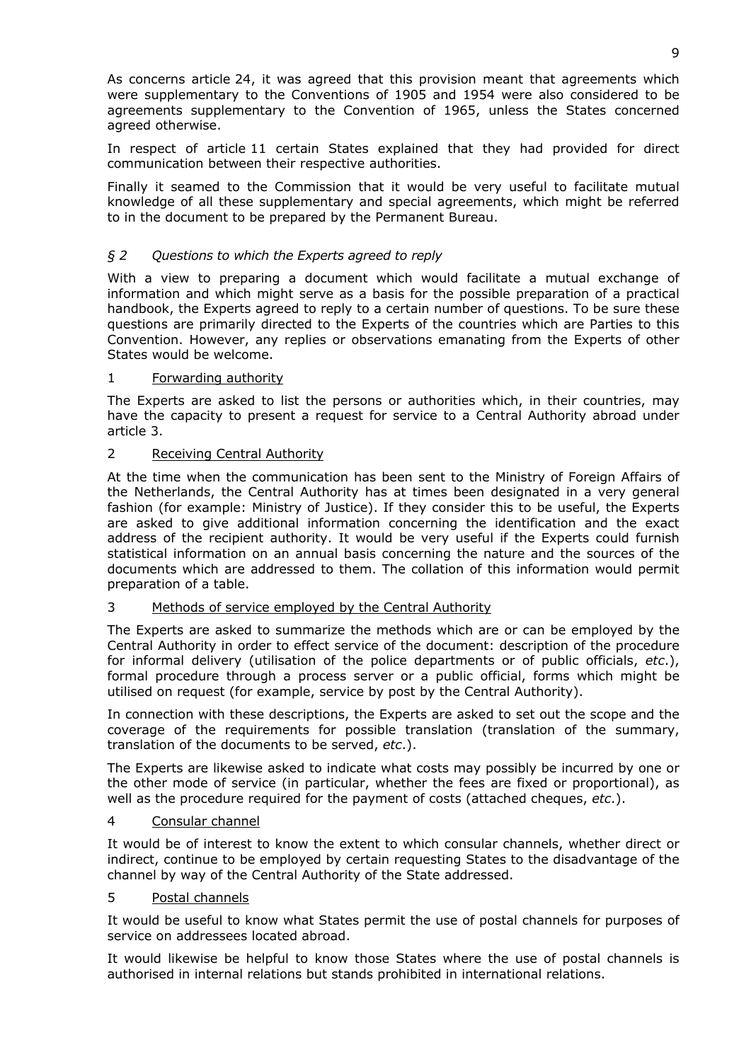As concerns article 24, it was agreed that this provision meant that agreements which were supplementary to the Conventions of 1905 and 1954 were also considered to be agreements supplementary to the Convention of 1965, unless the States concerned agreed otherwise.

In respect of article 11 certain States explained that they had provided for direct communication between their respective authorities.

Finally it seamed to the Commission that it would be very useful to facilitate mutual knowledge of all these supplementary and special agreements, which might be referred to in the document to be prepared by the Permanent Bureau.

# *§ 2 Questions to which the Experts agreed to reply*

With a view to preparing a document which would facilitate a mutual exchange of information and which might serve as a basis for the possible preparation of a practical handbook, the Experts agreed to reply to a certain number of questions. To be sure these questions are primarily directed to the Experts of the countries which are Parties to this Convention. However, any replies or observations emanating from the Experts of other States would be welcome.

## 1 Forwarding authority

The Experts are asked to list the persons or authorities which, in their countries, may have the capacity to present a request for service to a Central Authority abroad under article 3.

## 2 Receiving Central Authority

At the time when the communication has been sent to the Ministry of Foreign Affairs of the Netherlands, the Central Authority has at times been designated in a very general fashion (for example: Ministry of Justice). If they consider this to be useful, the Experts are asked to give additional information concerning the identification and the exact address of the recipient authority. It would be very useful if the Experts could furnish statistical information on an annual basis concerning the nature and the sources of the documents which are addressed to them. The collation of this information would permit preparation of a table.

#### 3 Methods of service employed by the Central Authority

The Experts are asked to summarize the methods which are or can be employed by the Central Authority in order to effect service of the document: description of the procedure for informal delivery (utilisation of the police departments or of public officials, *etc*.), formal procedure through a process server or a public official, forms which might be utilised on request (for example, service by post by the Central Authority).

In connection with these descriptions, the Experts are asked to set out the scope and the coverage of the requirements for possible translation (translation of the summary, translation of the documents to be served, *etc*.).

The Experts are likewise asked to indicate what costs may possibly be incurred by one or the other mode of service (in particular, whether the fees are fixed or proportional), as well as the procedure required for the payment of costs (attached cheques, *etc*.).

#### 4 Consular channel

It would be of interest to know the extent to which consular channels, whether direct or indirect, continue to be employed by certain requesting States to the disadvantage of the channel by way of the Central Authority of the State addressed.

#### 5 Postal channels

It would be useful to know what States permit the use of postal channels for purposes of service on addressees located abroad.

It would likewise be helpful to know those States where the use of postal channels is authorised in internal relations but stands prohibited in international relations.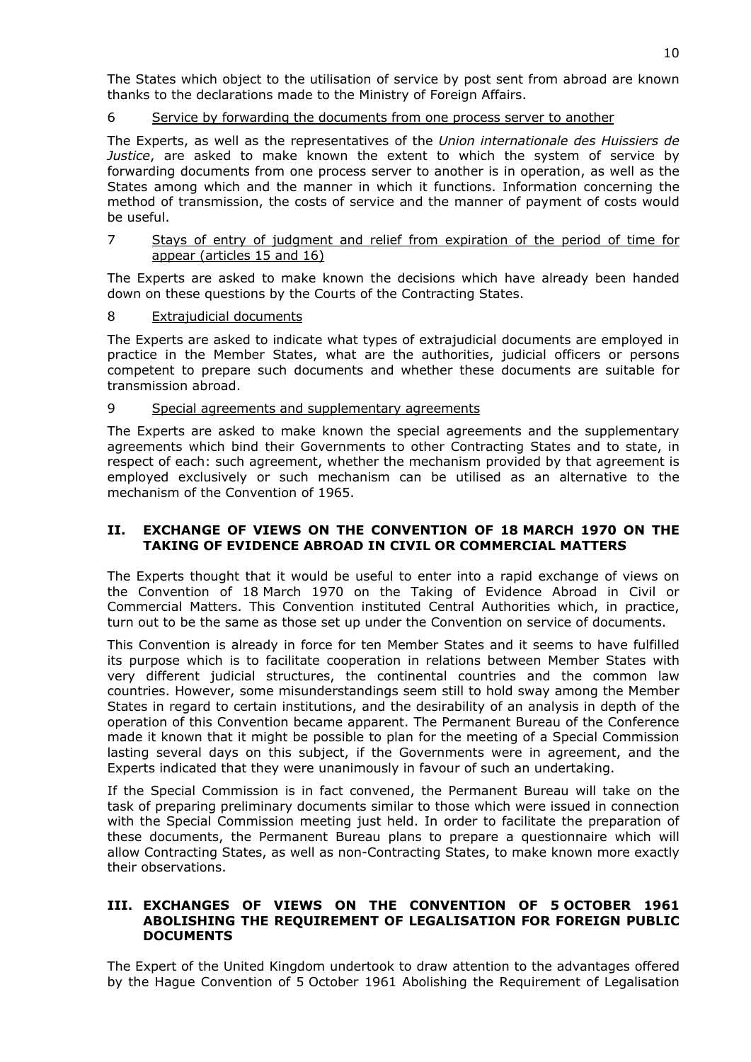The States which object to the utilisation of service by post sent from abroad are known thanks to the declarations made to the Ministry of Foreign Affairs.

## 6 Service by forwarding the documents from one process server to another

The Experts, as well as the representatives of the *Union internationale des Huissiers de Justice*, are asked to make known the extent to which the system of service by forwarding documents from one process server to another is in operation, as well as the States among which and the manner in which it functions. Information concerning the method of transmission, the costs of service and the manner of payment of costs would be useful.

7 Stays of entry of judgment and relief from expiration of the period of time for appear (articles 15 and 16)

The Experts are asked to make known the decisions which have already been handed down on these questions by the Courts of the Contracting States.

## 8 Extrajudicial documents

The Experts are asked to indicate what types of extrajudicial documents are employed in practice in the Member States, what are the authorities, judicial officers or persons competent to prepare such documents and whether these documents are suitable for transmission abroad.

#### 9 Special agreements and supplementary agreements

The Experts are asked to make known the special agreements and the supplementary agreements which bind their Governments to other Contracting States and to state, in respect of each: such agreement, whether the mechanism provided by that agreement is employed exclusively or such mechanism can be utilised as an alternative to the mechanism of the Convention of 1965.

## **II. EXCHANGE OF VIEWS ON THE CONVENTION OF 18 MARCH 1970 ON THE TAKING OF EVIDENCE ABROAD IN CIVIL OR COMMERCIAL MATTERS**

The Experts thought that it would be useful to enter into a rapid exchange of views on the Convention of 18 March 1970 on the Taking of Evidence Abroad in Civil or Commercial Matters. This Convention instituted Central Authorities which, in practice, turn out to be the same as those set up under the Convention on service of documents.

This Convention is already in force for ten Member States and it seems to have fulfilled its purpose which is to facilitate cooperation in relations between Member States with very different judicial structures, the continental countries and the common law countries. However, some misunderstandings seem still to hold sway among the Member States in regard to certain institutions, and the desirability of an analysis in depth of the operation of this Convention became apparent. The Permanent Bureau of the Conference made it known that it might be possible to plan for the meeting of a Special Commission lasting several days on this subject, if the Governments were in agreement, and the Experts indicated that they were unanimously in favour of such an undertaking.

If the Special Commission is in fact convened, the Permanent Bureau will take on the task of preparing preliminary documents similar to those which were issued in connection with the Special Commission meeting just held. In order to facilitate the preparation of these documents, the Permanent Bureau plans to prepare a questionnaire which will allow Contracting States, as well as non-Contracting States, to make known more exactly their observations.

## **III. EXCHANGES OF VIEWS ON THE CONVENTION OF 5 OCTOBER 1961 ABOLISHING THE REQUIREMENT OF LEGALISATION FOR FOREIGN PUBLIC DOCUMENTS**

The Expert of the United Kingdom undertook to draw attention to the advantages offered by the Hague Convention of 5 October 1961 Abolishing the Requirement of Legalisation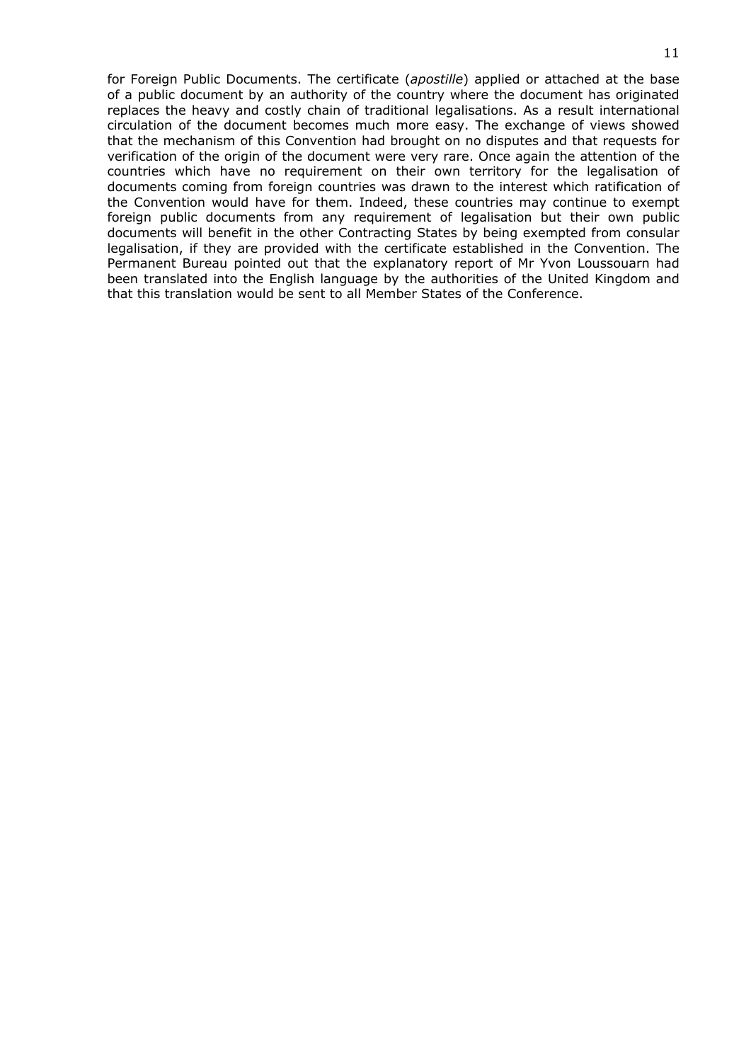for Foreign Public Documents. The certificate (*apostille*) applied or attached at the base of a public document by an authority of the country where the document has originated replaces the heavy and costly chain of traditional legalisations. As a result international circulation of the document becomes much more easy. The exchange of views showed that the mechanism of this Convention had brought on no disputes and that requests for verification of the origin of the document were very rare. Once again the attention of the countries which have no requirement on their own territory for the legalisation of documents coming from foreign countries was drawn to the interest which ratification of the Convention would have for them. Indeed, these countries may continue to exempt foreign public documents from any requirement of legalisation but their own public documents will benefit in the other Contracting States by being exempted from consular legalisation, if they are provided with the certificate established in the Convention. The Permanent Bureau pointed out that the explanatory report of Mr Yvon Loussouarn had been translated into the English language by the authorities of the United Kingdom and that this translation would be sent to all Member States of the Conference.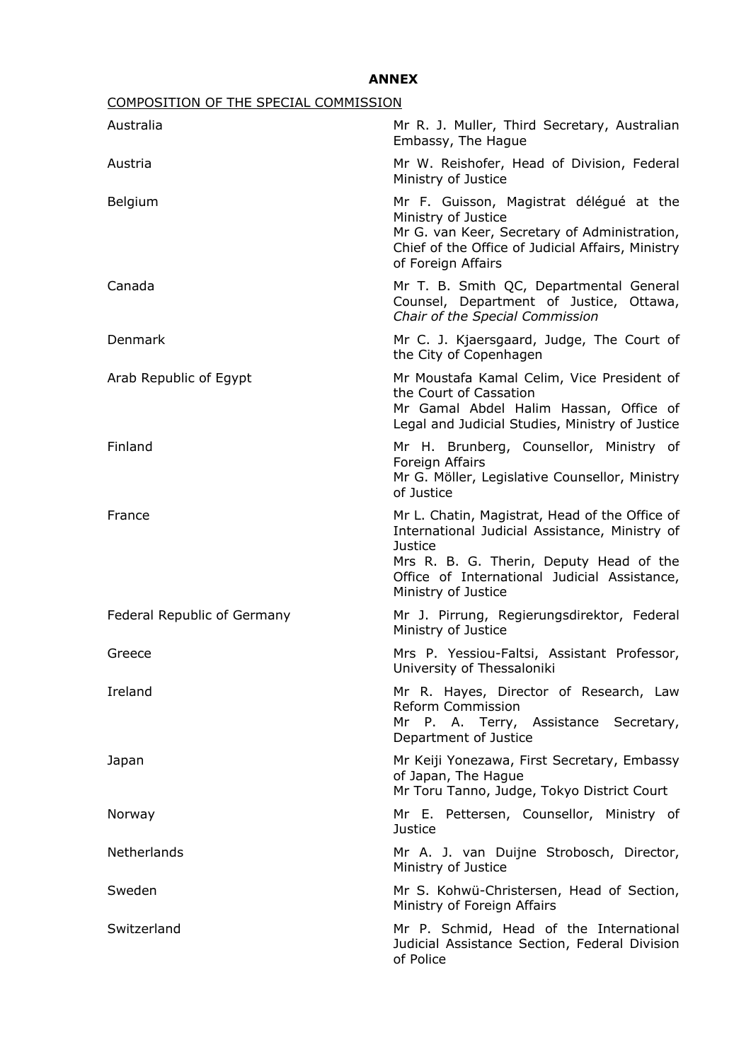# **ANNEX**

| COMPOSITION OF THE SPECIAL COMMISSION |                                                                                                                                                                                                                                      |
|---------------------------------------|--------------------------------------------------------------------------------------------------------------------------------------------------------------------------------------------------------------------------------------|
| Australia                             | Mr R. J. Muller, Third Secretary, Australian<br>Embassy, The Hague                                                                                                                                                                   |
| Austria                               | Mr W. Reishofer, Head of Division, Federal<br>Ministry of Justice                                                                                                                                                                    |
| Belgium                               | Mr F. Guisson, Magistrat délégué at the<br>Ministry of Justice<br>Mr G. van Keer, Secretary of Administration,<br>Chief of the Office of Judicial Affairs, Ministry<br>of Foreign Affairs                                            |
| Canada                                | Mr T. B. Smith QC, Departmental General<br>Counsel, Department of Justice, Ottawa,<br>Chair of the Special Commission                                                                                                                |
| Denmark                               | Mr C. J. Kjaersgaard, Judge, The Court of<br>the City of Copenhagen                                                                                                                                                                  |
| Arab Republic of Egypt                | Mr Moustafa Kamal Celim, Vice President of<br>the Court of Cassation<br>Mr Gamal Abdel Halim Hassan, Office of<br>Legal and Judicial Studies, Ministry of Justice                                                                    |
| Finland                               | Mr H. Brunberg, Counsellor, Ministry of<br>Foreign Affairs<br>Mr G. Möller, Legislative Counsellor, Ministry<br>of Justice                                                                                                           |
| France                                | Mr L. Chatin, Magistrat, Head of the Office of<br>International Judicial Assistance, Ministry of<br><b>Justice</b><br>Mrs R. B. G. Therin, Deputy Head of the<br>Office of International Judicial Assistance,<br>Ministry of Justice |
| Federal Republic of Germany           | Mr J. Pirrung, Regierungsdirektor, Federal<br>Ministry of Justice                                                                                                                                                                    |
| Greece                                | Mrs P. Yessiou-Faltsi, Assistant Professor,<br>University of Thessaloniki                                                                                                                                                            |
| Ireland                               | Mr R. Hayes, Director of Research, Law<br>Reform Commission<br>Mr P. A. Terry, Assistance Secretary,<br>Department of Justice                                                                                                        |
| Japan                                 | Mr Keiji Yonezawa, First Secretary, Embassy<br>of Japan, The Hague<br>Mr Toru Tanno, Judge, Tokyo District Court                                                                                                                     |
| Norway                                | Mr E. Pettersen, Counsellor, Ministry of<br><b>Justice</b>                                                                                                                                                                           |
| Netherlands                           | Mr A. J. van Duijne Strobosch, Director,<br>Ministry of Justice                                                                                                                                                                      |
| Sweden                                | Mr S. Kohwü-Christersen, Head of Section,<br>Ministry of Foreign Affairs                                                                                                                                                             |
| Switzerland                           | Mr P. Schmid, Head of the International<br>Judicial Assistance Section, Federal Division<br>of Police                                                                                                                                |